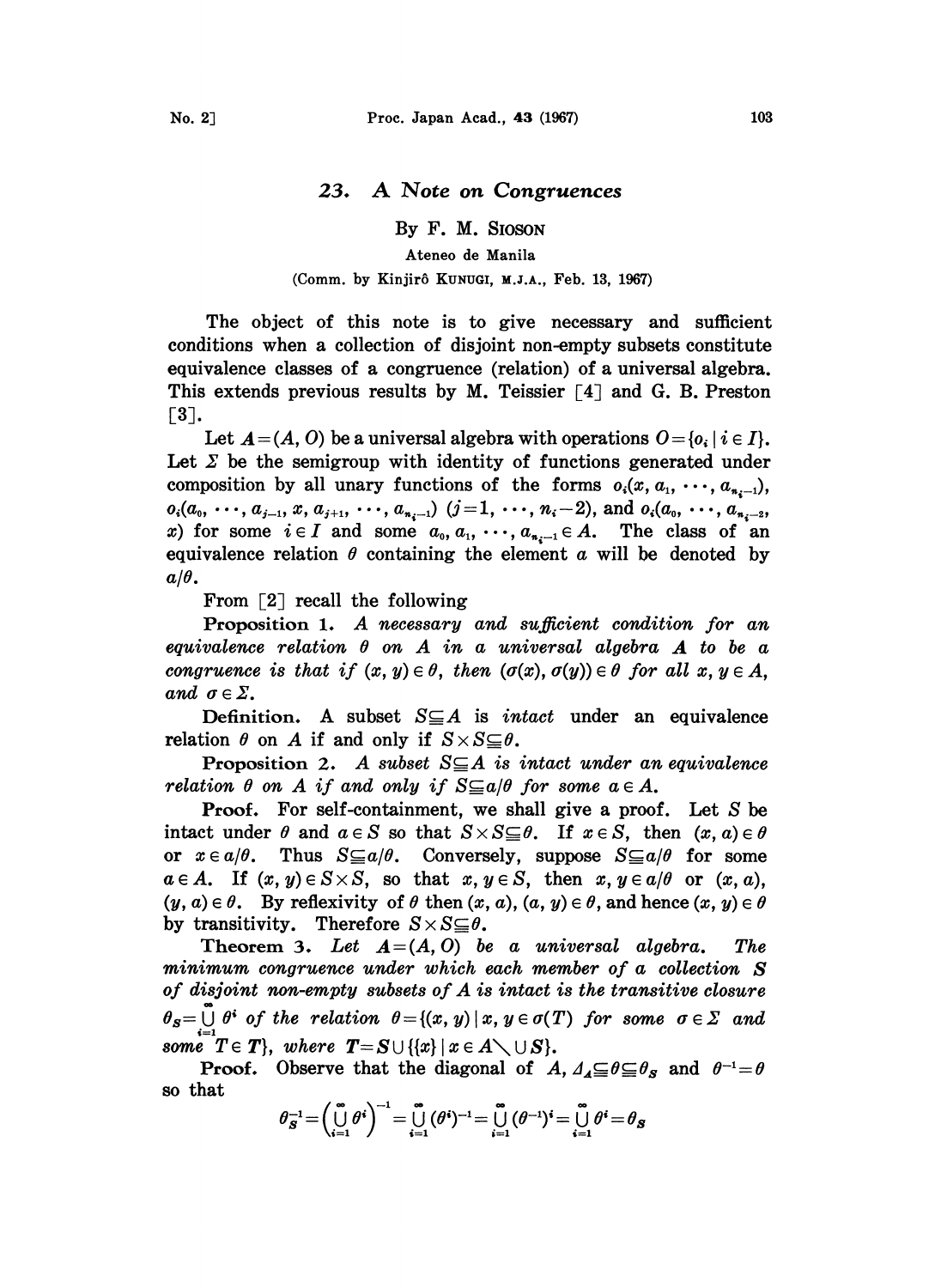## 23. A Note on Congruences

By F. M. SIOSON

## Ateneo de Manila

## (Comm. by Kinjirô KUNUGI, M.J.A., Feb. 13, 1967)

The object of this note is to give necessary and sufficient conditions when a collection of disjoint non-empty subsets constitute equivalence classes of a congruence (relation) of a universal algebra. This extends previous results by M. Teissier  $[4]$  and G. B. Preston  $[3]$ .

Let  $A=(A, 0)$  be a universal algebra with operations  $0=0$ ;  $i \in I$ . Let  $\Sigma$  be the semigroup with identity of functions generated under composition by all unary functions of the forms  $o_i(x, a_1, \dots, a_{n_i-1})$ ,  $o_i(a_0, \dots, a_{j-1}, x, a_{j+1}, \dots, a_{n-1})$   $(j=1, \dots, n_i-2)$ , and  $o_i(a_0, \dots, a_{n-2},$ x) for some  $i \in I$  and some  $a_0, a_1, \dots, a_{n-1} \in A$ . The class of an equivalence relation  $\theta$  containing the element  $\alpha$  will be denoted by  $a/\theta$ .

From  $\lceil 2 \rceil$  recall the following

Proposition 1. A necessary and sufficient condition for an equivalence relation  $\theta$  on  $A$  in a universal algebra  $A$  to be a congruence is that if  $(x, y) \in \theta$ , then  $(\sigma(x), \sigma(y)) \in \theta$  for all  $x, y \in A$ , and  $\sigma \in \Sigma$ .

Definition. A subset  $S \subseteq A$  is *intact* under an equivalence relation  $\theta$  on A if and only if  $S \times S \subseteq \theta$ .

**Proposition 2.** A subset  $S \subseteq A$  is intact under an equivalence relation  $\theta$  on A if and only if  $S \subseteq a/\theta$  for some  $a \in A$ .

Proof. For self-containment, we shall give a proof. Let S be intact under  $\theta$  and  $a \in S$  so that  $S \times S \subseteq \theta$ . If  $x \in S$ , then  $(x, a) \in \theta$ or  $x \in a/\theta$ . Thus  $S \subseteq a/\theta$ . Conversely, suppose  $S \subseteq a/\theta$  for some  $a \in A$ . If  $(x, y) \in S \times S$ , so that  $x, y \in S$ , then  $x, y \in a/\theta$  or  $(x, a)$ ,  $(y, a) \in \theta$ . By reflexivity of  $\theta$  then  $(x, a)$ ,  $(a, y) \in \theta$ , and hence  $(x, y) \in \theta$ by transitivity. Therefore  $S \times S \subseteq \theta$ .

Theorem 3. Let  $A=(A, 0)$  be a universal algebra. The minimum congruence under which each member of a collection S of disjoint non-empty subsets of A is intact is the transitive closure  $\theta_s = \bigcup_{n=0}^{\infty} \theta^s$  of the relation  $\theta = \{(x, y) \mid x, y \in \sigma(T) \text{ for some } \sigma \in \Sigma \text{ and } \theta^s \text{ and } \theta^s \text{ is a finite number of } \theta \text{ for some } \sigma \in \Sigma \text{ and } \theta^s \text{ for some } \sigma \in \Sigma \text{ and } \theta^s \text{ for some } \sigma \in \Sigma \text{ and } \theta^s \text{ for some } \sigma \in \Sigma \text{ and } \theta^s \text{ for some } \sigma \in \Sigma \text{ and } \theta^s \text{ for some } \sigma \in \Sigma \text$ some  $T \in T$ , where  $T = S \cup \{\{x\} \mid x \in A \setminus \cup S\}.$ 

**Proof.** Observe that the diagonal of A,  $\Delta A \subseteq \theta \subseteq \theta_S$  and  $\theta^{-1} = \theta$ so that

$$
\theta_S^{-1} = \left(\bigcup_{i=1}^{\infty} \theta^i\right)^{-1} = \bigcup_{i=1}^{\infty} (\theta^i)^{-1} = \bigcup_{i=1}^{\infty} (\theta^{-1})^i = \bigcup_{i=1}^{\infty} \theta^i = \theta_S
$$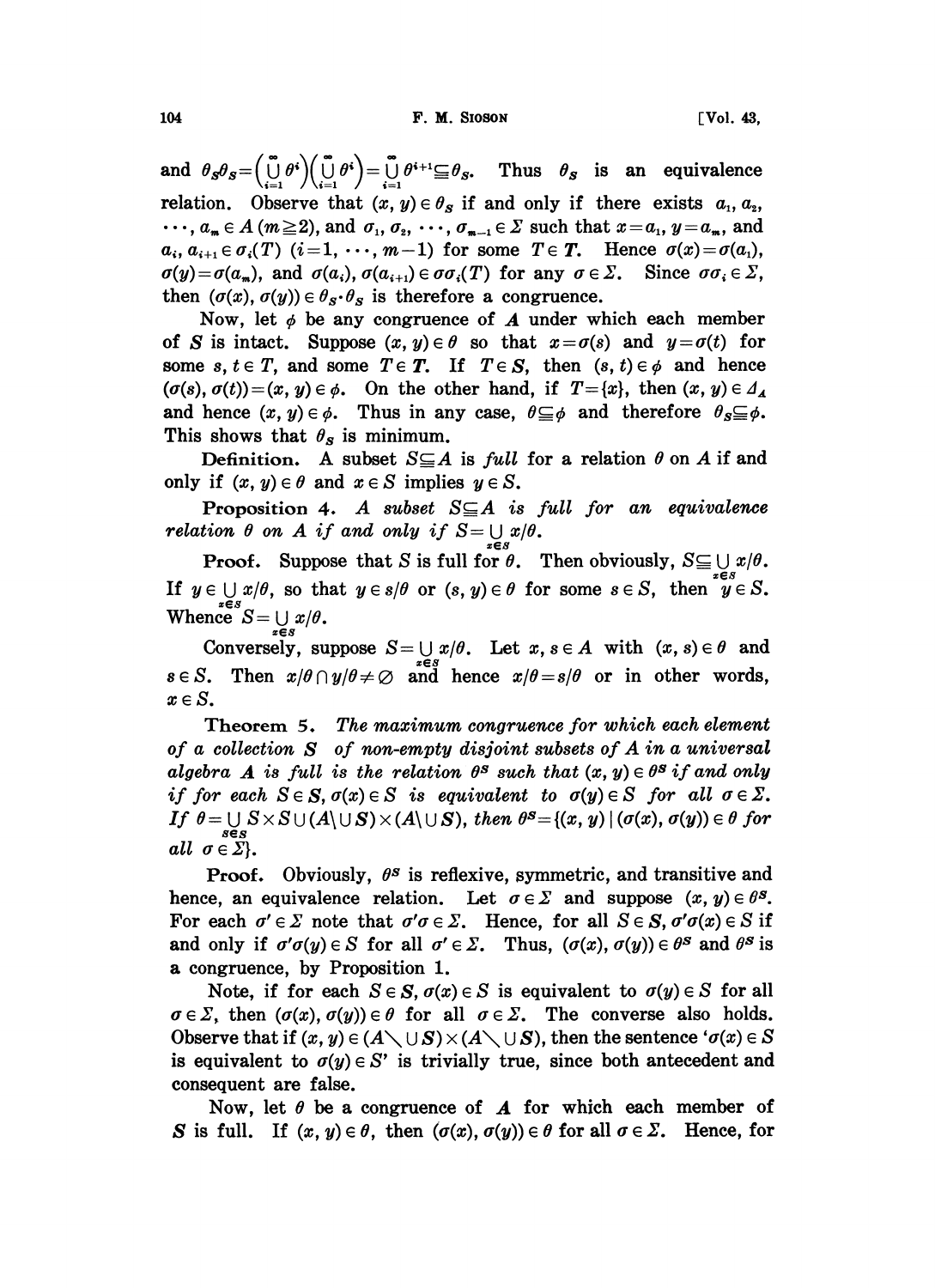104 **F.M. SIOSON F.M. SIOSON Vol. 43**,

and  $\theta_s \theta_s = \left(\bigcup_{i=1}^s \theta^i\right) \left(\bigcup_{i=1}^s \theta^i\right) = \bigcup_{i=1}^s \theta^{i+1} \subseteq \theta_s$ . Thus  $\theta_s$  is an equivalence relation. Observe that  $(x, y) \in \theta_s$  if and only if there exists  $a_1, a_2$ , relation. Observe that  $(x, y) \in \theta_S$  if and only if there exists  $a_1, a_2, \dots, a_m \in A$  ( $m \ge 2$ ), and  $\sigma_1, \sigma_2, \dots, \sigma_{m-1} \in \Sigma$  such that  $x = a_1, y = a_m$ , and  $a_i, a_{i+1} \in \sigma_i(T)$   $(i=1, \cdots, m-1)$  for some  $T \in T$ . Hence  $\sigma(x) = \sigma(a_1)$ ,  $\sigma(y) = \sigma(a_m)$ , and  $\sigma(a_i)$ ,  $\sigma(a_{i+1}) \in \sigma \sigma_i(T)$  for any  $\sigma \in \Sigma$ . Since  $\sigma \sigma_i \in \Sigma$ , then  $(\sigma(x), \sigma(y)) \in \theta_s \cdot \theta_s$  is therefore a congruence.

Now, let  $\phi$  be any congruence of  $\boldsymbol{A}$  under which each member of S is intact. Suppose  $(x, y) \in \theta$  so that  $x = \sigma(s)$  and  $y = \sigma(t)$  for some s,  $t \in T$ , and some  $T \in T$ . If  $T \in S$ , then  $(s, t) \in \phi$  and hence  $(\sigma(s), \sigma(t)) = (x, y) \in \phi$ . On the other hand, if  $T = \{x\}$ , then  $(x, y) \in A$ . and hence  $(x, y) \in \phi$ . Thus in any case,  $\theta \subseteq \phi$  and therefore  $\theta_s \subseteq \phi$ . This shows that  $\theta_s$  is minimum.

Definition. A subset  $S \subseteq A$  is *full* for a relation  $\theta$  on A if and only if  $(x, y) \in \theta$  and  $x \in S$  implies  $y \in S$ .

Proposition 4. A subset  $S \subseteq A$  is full for an equivalence relation  $\theta$  on  $A$  if and only if  $S = \bigcup x/\theta$ .

**Proof.** Suppose that S is full for  $\theta$ . Then obviously,  $S \subseteq \bigcup x/\theta$ . If  $y \in \bigcup x/\theta$ , so that  $y \in s/\theta$  or  $(s, y) \in \theta$  for some  $s \in S$ , then  $y \in S$ . Whence  $S = \bigcup x/\theta$ .

Conversely, suppose  $S = \bigcup x/\theta$ . Let  $x, s \in A$  with  $(x, s) \in \theta$  and  $s \in S$ . Then  $x/\theta \cap y/\theta \neq \emptyset$  and hence  $x/\theta = s/\theta$  or in other words,  $x \in S$ .

Theorem 5. The maximum congruence for which each element of a collection  $S$  of non-empty disjoint subsets of  $A$  in a universal algebra A is full is the relation  $\theta^s$  such that  $(x, y) \in \theta^s$  if and only if for each  $S \in S$ ,  $\sigma(x) \in S$  is equivalent to  $\sigma(y) \in S$  for all  $\sigma \in \Sigma$ . If  $\theta = \bigcup S \times S \cup (A \setminus \bigcup S) \times (A \setminus \bigcup S)$ , then  $\theta^S = \{(x, y) \mid (\sigma(x), \sigma(y)) \in \theta \text{ for }$ all  $\sigma \in \Sigma$ .

**Proof.** Obviously,  $\theta^s$  is reflexive, symmetric, and transitive and hence, an equivalence relation. Let  $\sigma \in \Sigma$  and suppose  $(x, y) \in \theta^s$ . For each  $\sigma' \in \Sigma$  note that  $\sigma' \sigma \in \Sigma$ . Hence, for all  $S \in S$ ,  $\sigma' \sigma(x) \in S$  if and only if  $\sigma'\sigma(y) \in S$  for all  $\sigma' \in \Sigma$ . Thus,  $(\sigma(x), \sigma(y)) \in \theta^s$  and  $\theta^s$  is a congruence, by Proposition 1.

Note, if for each  $S \in S$ ,  $\sigma(x) \in S$  is equivalent to  $\sigma(y) \in S$  for all  $\sigma \in \Sigma$ , then  $(\sigma(x), \sigma(y)) \in \theta$  for all  $\sigma \in \Sigma$ . The converse also holds. Observe that if  $(x, y) \in (A \setminus \cup S) \times (A \setminus \cup S)$ , then the sentence ' $\sigma(x) \in S$ is equivalent to  $\sigma(y) \in S'$  is trivially true, since both antecedent and consequent are false.

Now, let  $\theta$  be a congruence of  $\boldsymbol{A}$  for which each member of S is full. If  $(x, y) \in \theta$ , then  $(\sigma(x), \sigma(y)) \in \theta$  for all  $\sigma \in \Sigma$ . Hence, for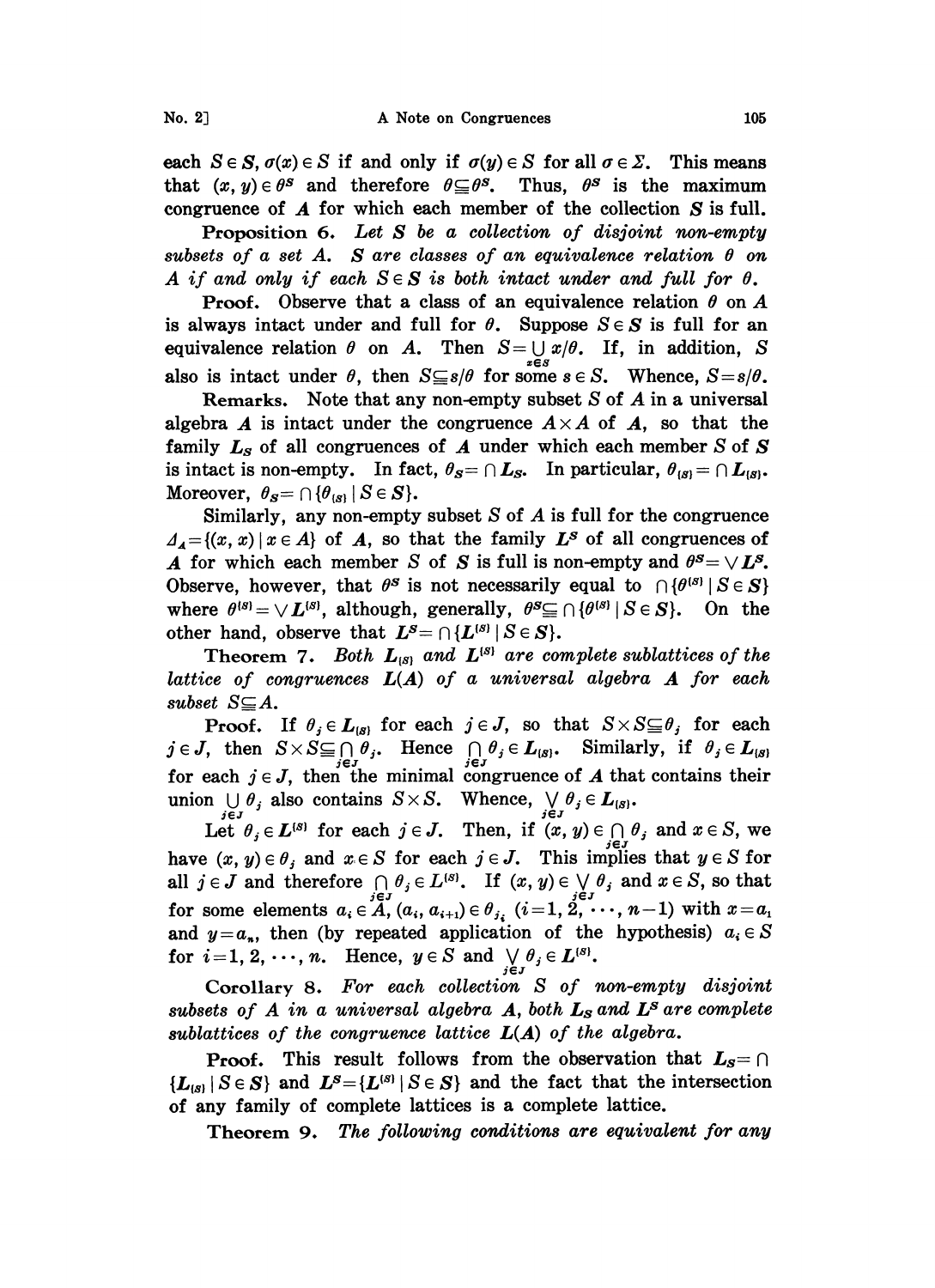each  $S \in S$ ,  $\sigma(x) \in S$  if and only if  $\sigma(y) \in S$  for all  $\sigma \in \Sigma$ . This means that  $(x, y) \in \theta^s$  and therefore  $\theta \subseteq \theta^s$ . Thus,  $\theta^s$  is the maximum congruence of A for which each member of the collection S is full.

Proposition 6. Let  $S$  be a collection of disjoint non-empty subsets of a set A. S are classes of an equivalence relation  $\theta$  on A if and only if each  $S \in S$  is both intact under and full for  $\theta$ .

**Proof.** Observe that a class of an equivalence relation  $\theta$  on A is always intact under and full for  $\theta$ . Suppose  $S \in S$  is full for an equivalence relation  $\theta$  on A. Then  $S = \bigcup_{x \in S} x/\theta$ . If, in addition, S. also is intact under  $\theta$ , then  $S \subseteq s/\theta$  for some  $s \in S$ . Whence,  $S = s/\theta$ .

Remarks. Note that any non-empty subset  $S$  of  $A$  in a universal algebra A is intact under the congruence  $A \times A$  of A, so that the family  $L_S$  of all congruences of  $A$  under which each member  $S$  of  $S$ is intact is non-empty. In fact,  $\theta_{\rm s} = \cap L_{\rm s}$ . In particular,  $\theta_{\rm s} = \cap L_{\rm s}$ . Moreover,  $\theta_{\mathcal{S}} = \bigcap \{\theta_{\{\mathcal{S}\}} \mid S \in \mathcal{S}\}.$ 

Similarly, any non-empty subset  $S$  of  $A$  is full for the congruence  $\Delta_A = \{(x, x) \mid x \in A\}$  of A, so that the family  $L^s$  of all congruences of A for which each member S of S is full is non-empty and  $\theta^s = \bigvee L^s$ . Observe, however, that  $\theta^s$  is not necessarily equal to  $\bigcap {\theta^{(s)}} | S \in S \}$ where  $\theta^{\{S\}} = \bigvee L^{\{S\}}$ , although, generally,  $\theta^S \subseteq \bigcap {\{\theta^{\{S\}} \mid S \in S\}}$ . On the other hand, observe that  $L^s = \bigcap \{L^{(s)} | S \in S\}.$ 

Theorem 7. Both  $L_{[s]}$  and  $L^{[s]}$  are complete sublattices of the lattice of congruences  $L(A)$  of a universal algebra  $A$  for each subset  $S \subseteq A$ .

**Proof.** If  $\theta_j \in L_{(s)}$  for each  $j \in J$ , so that  $S \times S \subseteq \theta_j$  for each **Proof.** If  $\theta_j \in L_{[s]}$  for each  $j \in J$ , so that  $S \times S \subseteq \theta_j$ :<br>  $j \in J$ , then  $S \times S \subseteq \bigcap_{i \in J} \theta_i$ . Hence  $\bigcap_{i \in J} \theta_i \in L_{[s]}$ . Similarly, if for each  $j \in J$ , then the minimal congruence of A that contains their union  $\bigcup_{i\in J} \theta_i$  also contains  $S\times S$ . Whence,  $\bigvee_{j\in J} \theta_j \in L_{(S)}$ .

Let  $\theta_j \in L^{(s)}$  for each  $j \in J$ . Then, if  $(x, y) \in \bigcap_{j \in J} \theta_j$  and  $x \in S$ , we have  $(x, y) \in \theta_i$  and  $x \in S$  for each  $j \in J$ . This implies that  $y \in S$  for all  $j \in J$  and therefore  $\bigcap_{i} \theta_j \in L^{(s)}$ . If  $(x, y) \in \bigvee_{i} \theta_j$  and  $x \in S$ , so that for some elements  $a_i \in A$ ,  $(a_i, a_{i+1}) \in \theta_{j_i}$ ,  $(i=1, 2, \cdots, n-1)$  with  $x = a_j$ and  $y=a_n$ , then (by repeated application of the hypothesis)  $a_i \in S$ for  $i=1, 2, \dots, n$ . Hence,  $y \in S$  and  $\bigvee_{j \in J} \theta_j \in L^{\{S\}}$ .

Corollary 8. For each collection S of non-empty disjoint subsets of  $A$  in a universal algebra  $A$ , both  $L_S$  and  $L^S$  are complete sublattices of the congruence lattice  $L(A)$  of the algebra.

**Proof.** This result follows from the observation that  $L_s = \cap$  ${L_{(s)}} S \in S$  and  $L^s={L^{(s)}} S \in S$  and the fact that the intersection of any family of complete lattices is a complete lattice.

Theorem 9. The following conditions are equivalent for any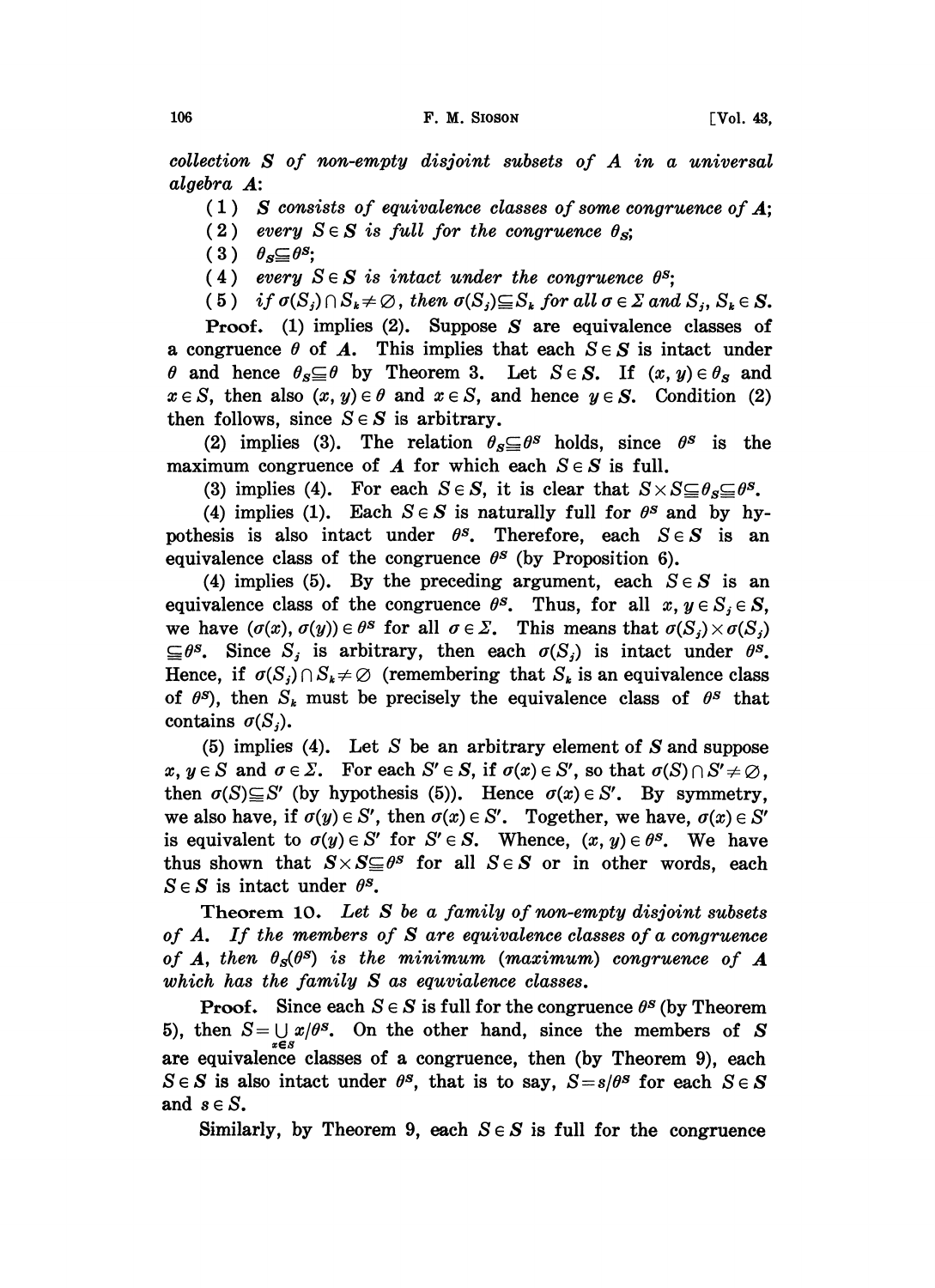collection S of non-empty disjoint subsets of A in <sup>a</sup> universal algebra A:

- $(1)$  S consists of equivalence classes of some congruence of A;
- (2) every  $S \in S$  is full for the congruence  $\theta_{S}$ ;
- $(3)$   $\theta_s \subseteq \theta^s$ ;
- (4) every  $S \in S$  is intact under the congruence  $\theta^s$ ;
- (5) if  $\sigma(S_j) \cap S_k \neq \emptyset$ , then  $\sigma(S_j) \subseteq S_k$  for all  $\sigma \in \Sigma$  and  $S_j$ ,  $S_k \in S$ .

**Proof.** (1) implies (2). Suppose  $S$  are equivalence classes of a congruence  $\theta$  of A. This implies that each  $S \in S$  is intact under  $\theta$  and hence  $\theta_s \subseteq \theta$  by Theorem 3. Let  $S \in S$ . If  $(x, y) \in \theta_s$  and  $x \in S$ , then also  $(x, y) \in \theta$  and  $x \in S$ , and hence  $y \in S$ . Condition (2) then follows, since  $S \in S$  is arbitrary.

(2) implies (3). The relation  $\theta_s \subseteq \theta^s$  holds, since  $\theta^s$  is the maximum congruence of  $A$  for which each  $S \in S$  is full.

(3) implies (4). For each  $S \in S$ , it is clear that  $S \times S \subseteq \theta_s \subseteq \theta^s$ .

(4) implies (1). Each  $S \in S$  is naturally full for  $\theta^s$  and by hypothesis is also intact under  $\theta^s$ . Therefore, each  $S \in S$  is an equivalence class of the congruence  $\theta^s$  (by Proposition 6).

(4) implies (5). By the preceding argument, each  $S \in S$  is an equivalence class of the congruence  $\theta^s$ . Thus, for all  $x, y \in S_i \in S$ , we have  $(\sigma(x), \sigma(y)) \in \theta^s$  for all  $\sigma \in \Sigma$ . This means that  $\sigma(S_i) \times \sigma(S_i)$  $\subseteq \theta^s$ . Since  $S_j$  is arbitrary, then each  $\sigma(S_j)$  is intact under  $\theta^s$ . Hence, if  $\sigma(S_i) \cap S_k \neq \emptyset$  (remembering that  $S_k$  is an equivalence class of  $\theta^s$ , then  $S_k$  must be precisely the equivalence class of  $\theta^s$  that contains  $\sigma(S_i)$ .

(5) implies (4). Let S be an arbitrary element of S and suppose  $x, y \in S$  and  $\sigma \in \Sigma$ . For each  $S' \in S$ , if  $\sigma(x) \in S'$ , so that  $\sigma(S) \cap S' \neq \emptyset$ , then  $\sigma(S) \subseteq S'$  (by hypothesis (5)). Hence  $\sigma(x) \in S'$ . By symmetry, we also have, if  $\sigma(y) \in S'$ , then  $\sigma(x) \in S'$ . Together, we have,  $\sigma(x) \in S'$ is equivalent to  $\sigma(y) \in S'$  for  $S' \in S$ . Whence,  $(x, y) \in \theta^s$ . We have thus shown that  $S \times S \subseteq \theta^s$  for all  $S \in S$  or in other words, each  $S \in S$  is intact under  $\theta^s$ .

Theorem 10. Let S be a family of non-empty disjoint subsets of  $A$ . If the members of  $S$  are equivalence classes of a congruence of A, then  $\theta_{\rm s}(\theta^{\rm s})$  is the minimum (maximum) congruence of A which has the family S as equvialence classes.

**Proof.** Since each  $S \in S$  is full for the congruence  $\theta^s$  (by Theorem 5), then  $S = \bigcup_{k=1}^{\infty} x/\theta^s$ . On the other hand, since the members of S are equivalence classes of a congruence, then (by Theorem 9), each  $S \in S$  is also intact under  $\theta^s$ , that is to say,  $S = s/\theta^s$  for each  $S \in S$ and  $s \in S$ .

Similarly, by Theorem 9, each  $S \in S$  is full for the congruence